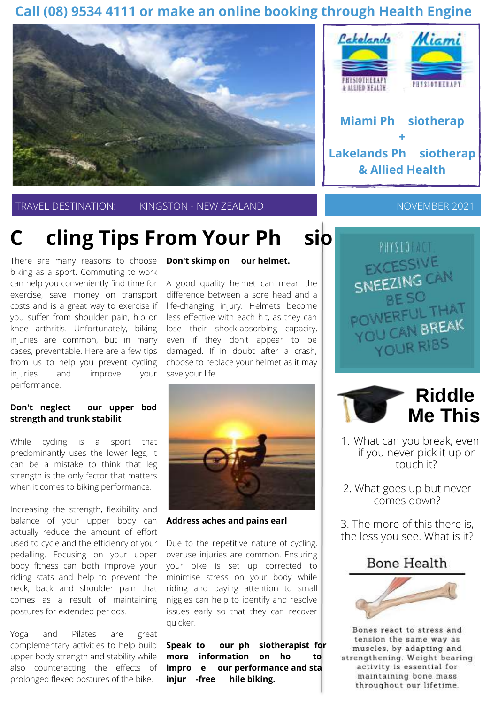### **Call (08) 9534 4111 or make an online booking through Health Engine**



TRAVEL DESTINATION: KINGSTON - NEW ZEALAND

# **Cy cling Tips From Your Phy sio**

There are many reasons to choose biking as a sport. Commuting to work can help you conveniently find time for exercise, save money on transport costs and is a great way to exercise if you suffer from shoulder pain, hip or knee arthritis. Unfortunately, biking injuries are common, but in many cases, preventable. Here are a few tips from us to help you prevent cycling injuries and improve your performance.

#### **Don't neglect y our upper body strength and trunk stability**

While cycling is a sport that predominantly uses the lower legs, it can be a mistake to think that leg strength is the only factor that matters when it comes to biking performance.

Increasing the strength, flexibility and balance of your upper body can actually reduce the amount of effort used to cycle and the efficiency of your pedalling. Focusing on your upper body fitness can both improve your riding stats and help to prevent the neck, back and shoulder pain that comes as a result of maintaining postures for extended periods.

Yoga and Pilates are great complementary activities to help build upper body strength and stability while also counteracting the effects of prolonged flexed postures of the bike.

#### **Don't skimp on y our helmet.**

A good quality helmet can mean the difference between a sore head and a life-changing injury. Helmets become less effective with each hit, as they can lose their shock-absorbing capacity, even if they don't appear to be damaged. If in doubt after a crash, choose to replace your helmet as it may save your life.



**Address aches and pains early**

Due to the repetitive nature of cycling, overuse injuries are common. Ensuring your bike is set up corrected to minimise stress on your body while riding and paying attention to small niggles can help to identify and resolve issues early so that they can recover quicker.

 **Speak to y our phy siotherapist for more information on how to improv e y our performance and stay injury -free w hile biking.**



NOVEMBER 2021

PHYSIONAL **EXCESSIVE** SNEEZING CAN BE SO POWERFU<sub>PPEAK</sub> YOU CAN BREAK YOUR RIBS



- What can you break, even 1. if you never pick it up or touch it?
- 2. What goes up but never comes down?

3. The more of this there is, the less you see. What is it?





Bones react to stress and tension the same way as muscles, by adapting and strengthening. Weight bearing activity is essential for maintaining bone mass throughout our lifetime.